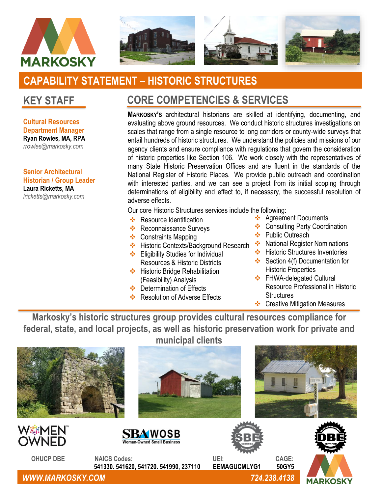



# **CAPABILITY STATEMENT – HISTORIC STRUCTURES**

**Cultural Resources Department Manager Ryan Rowles, MA, RPA** *rrowles@markosky.com*

**Senior Architectural Historian / Group Leader Laura Ricketts, MA** *lricketts@markosky.com*

## **KEY STAFF CORE COMPETENCIES & SERVICES**

**MARKOSKY'S** architectural historians are skilled at identifying, documenting, and evaluating above ground resources. We conduct historic structures investigations on scales that range from a single resource to long corridors or county-wide surveys that entail hundreds of historic structures. We understand the policies and missions of our agency clients and ensure compliance with regulations that govern the consideration of historic properties like Section 106. We work closely with the representatives of many State Historic Preservation Offices and are fluent in the standards of the National Register of Historic Places. We provide public outreach and coordination with interested parties, and we can see a project from its initial scoping through determinations of eligibility and effect to, if necessary, the successful resolution of adverse effects.

Our core Historic Structures services include the following:

- ❖ Resource Identification
- ❖ Reconnaissance Surveys
- ❖ Constraints Mapping
- ❖ Historic Contexts/Background Research ❖ National Register Nominations ❖ Eligibility Studies for Individual
- Resources & Historic Districts
- ❖ Historic Bridge Rehabilitation (Feasibility) Analysis
- ❖ Determination of Effects
- ❖ Resolution of Adverse Effects
- ❖ Agreement Documents
- ❖ Consulting Party Coordination
- ❖ Public Outreach
- 
- ❖ Historic Structures Inventories
- ❖ Section 4(f) Documentation for Historic Properties
- ❖ FHWA-delegated Cultural Resource Professional in Historic **Structures**
- ❖ Creative Mitigation Measures

**Markosky's historic structures group provides cultural resources compliance for federal, state, and local projects, as well as historic preservation work for private and**